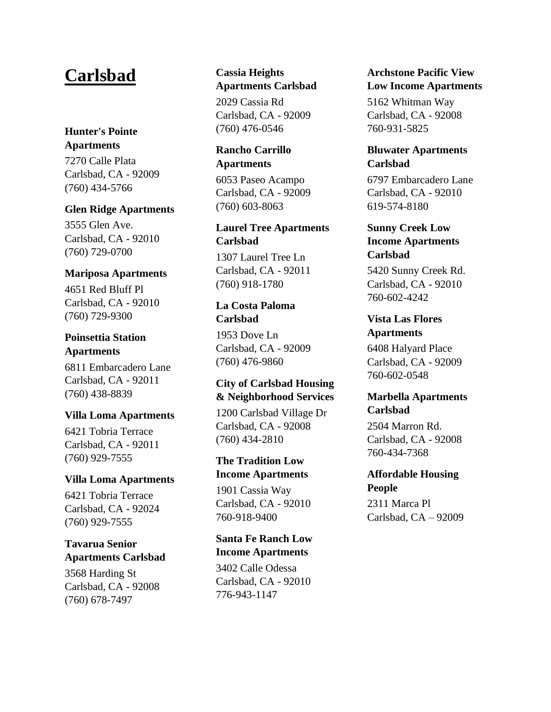# **Carlsbad**

## **[Hunter's](https://www.lowincomehousing.us/det/Hunters_Pointe_Apartments_Carlsbad) Pointe [Apartments](https://www.lowincomehousing.us/det/Hunters_Pointe_Apartments_Carlsbad)**

7270 Calle Plata Carlsbad, CA - 92009 (760) 434-5766

#### **Glen Ridge [Apartments](https://www.lowincomehousing.us/det/GlenRidgeApartmentHomeCarlsbad)**

3555 Glen Ave. Carlsbad, CA - 92010 (760) 729-0700

#### **Mariposa [Apartments](https://www.lowincomehousing.us/det/mariposa_apartments-92010)**

4651 Red Bluff Pl Carlsbad, CA - 92010 (760) 729-9300

## **[Poinsettia](https://www.lowincomehousing.us/det/Poinsettia_Station_Apartments_Carlsbad) Station [Apartments](https://www.lowincomehousing.us/det/Poinsettia_Station_Apartments_Carlsbad)**

6811 Embarcadero Lane Carlsbad, CA - 92011 (760) 438-8839

#### **Villa Loma [Apartments](https://www.lowincomehousing.us/det/ca-villa_loma_apartments)**

6421 Tobria Terrace Carlsbad, CA - 92011 (760) 929-7555

#### **Villa Loma [Apartments](https://www.lowincomehousing.us/det/ca_92024_villa-loma)**

6421 Tobria Terrace Carlsbad, CA - 92024 (760) 929-7555

#### **[Tavarua](https://www.lowincomehousing.us/det/tavarua_senior_apartments-92008) Senior [Apartments](https://www.lowincomehousing.us/det/tavarua_senior_apartments-92008) Carlsbad**

3568 Harding St Carlsbad, CA - 92008 (760) 678-7497

## **Cassia [Heights](https://www.lowincomehousing.us/det/cassia_heights_apartments-92009) [Apartments](https://www.lowincomehousing.us/det/cassia_heights_apartments-92009) Carlsbad**

2029 Cassia Rd Carlsbad, CA - 92009 (760) 476-0546

#### **Rancho [Carrillo](https://www.lowincomehousing.us/det/rancho_carrillo_apartments-92009) [Apartments](https://www.lowincomehousing.us/det/rancho_carrillo_apartments-92009)**

6053 Paseo Acampo Carlsbad, CA - 92009 (760) 603-8063

## **Laurel Tree [Apartments](https://www.lowincomehousing.us/det/laurel_tree_apartments-92011) [Carlsbad](https://www.lowincomehousing.us/det/laurel_tree_apartments-92011)**

1307 Laurel Tree Ln Carlsbad, CA - 92011 (760) 918-1780

## **La Costa [Paloma](https://www.lowincomehousing.us/det/la_costa_paloma-92009) [Carlsbad](https://www.lowincomehousing.us/det/la_costa_paloma-92009)**

1953 Dove Ln Carlsbad, CA - 92009 (760) 476-9860

## **City of [Carlsbad](https://www.lowincomehousing.us/det/92008_city-of-carlsbad-housing-neighborhood-services) Housing & [Neighborhood](https://www.lowincomehousing.us/det/92008_city-of-carlsbad-housing-neighborhood-services) Services**

1200 Carlsbad Village Dr Carlsbad, CA - 92008 (760) 434-2810

## **The [Tradition](https://www.lowincomehousing.us/det/The_Tradition_Low_Income_Apartments) Low Income [Apartments](https://www.lowincomehousing.us/det/The_Tradition_Low_Income_Apartments)**

1901 Cassia Way Carlsbad, CA - 92010 760-918-9400

## **Santa Fe [Ranch](https://www.lowincomehousing.us/det/Santa_Fe_Ranch_Low_Income_Apartments) Low Income [Apartments](https://www.lowincomehousing.us/det/Santa_Fe_Ranch_Low_Income_Apartments)**

3402 Calle Odessa Carlsbad, CA - 92010 776-943-1147

## **[Archstone](https://www.lowincomehousing.us/det/Archstone_Pacific_View_Low_Income_Apartments) Pacific View Low Income [Apartments](https://www.lowincomehousing.us/det/Archstone_Pacific_View_Low_Income_Apartments)**

5162 Whitman Way Carlsbad, CA - 92008 760-931-5825

#### **Bluwater [Apartments](https://www.lowincomehousing.us/det/Bluwater_Apartments_Carlsbad) [Carlsbad](https://www.lowincomehousing.us/det/Bluwater_Apartments_Carlsbad)**

6797 Embarcadero Lane Carlsbad, CA - 92010 619-574-8180

## **[Sunny](https://www.lowincomehousing.us/det/Sunny_Creek_Low_Income_Apartments_Carlsbad) Creek Low Income [Apartments](https://www.lowincomehousing.us/det/Sunny_Creek_Low_Income_Apartments_Carlsbad) [Carlsbad](https://www.lowincomehousing.us/det/Sunny_Creek_Low_Income_Apartments_Carlsbad)**

5420 Sunny Creek Rd. Carlsbad, CA - 92010 760-602-4242

#### **Vista Las [Flores](https://www.lowincomehousing.us/det/Vista_Las_Flores_Apartments_Carlsbad) [Apartments](https://www.lowincomehousing.us/det/Vista_Las_Flores_Apartments_Carlsbad)**

6408 Halyard Place Carlsbad, CA - 92009 760-602-0548

## **Marbella [Apartments](https://www.lowincomehousing.us/det/Marbella_Apartments_Carlsbad) [Carlsbad](https://www.lowincomehousing.us/det/Marbella_Apartments_Carlsbad)**

2504 Marron Rd. Carlsbad, CA - 92008 760-434-7368

## **[Affordable](https://www.lowincomehousing.us/det/ca_Affordable_Housing_People) Housing [People](https://www.lowincomehousing.us/det/ca_Affordable_Housing_People)**

2311 Marca Pl Carlsbad, CA – 92009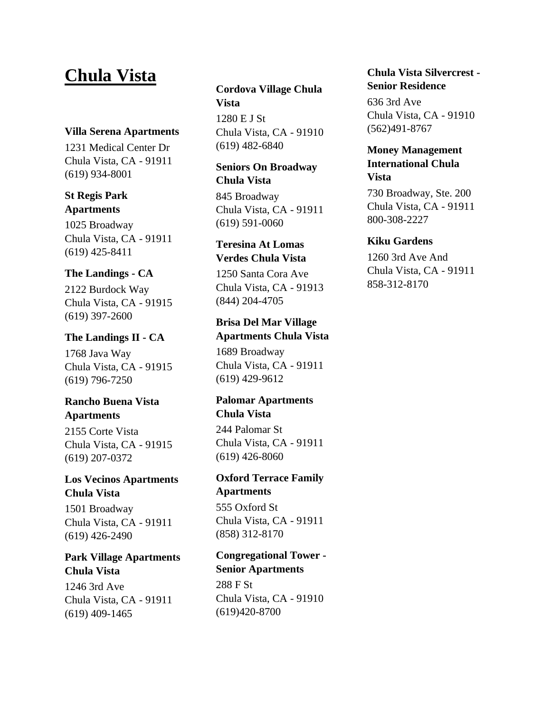# **Chula Vista**

#### **Villa Serena [Apartments](https://www.lowincomehousing.us/det/villa_serena_apartments-91911)**

1231 Medical Center Dr Chula Vista, CA - 91911 (619) 934-8001

#### **St [Regis](https://www.lowincomehousing.us/det/st_regis_park-91911) Park [Apartments](https://www.lowincomehousing.us/det/st_regis_park-91911)**

1025 Broadway Chula Vista, CA - 91911 (619) 425-8411

#### **The [Landings](https://www.lowincomehousing.us/det/landings-91915) - CA**

2122 Burdock Way Chula Vista, CA - 91915 (619) 397-2600

#### **The [Landings](https://www.lowincomehousing.us/det/the-landings-ii) II - CA**

1768 Java Way Chula Vista, CA - 91915 (619) 796-7250

## **[Rancho](https://www.lowincomehousing.us/det/rancho-buena-vista-apartments) Buena Vista [Apartments](https://www.lowincomehousing.us/det/rancho-buena-vista-apartments)**

2155 Corte Vista Chula Vista, CA - 91915 (619) 207-0372

## **Los Vecinos [Apartments](https://www.lowincomehousing.us/det/los_vecinos_apartments-91911) [Chula](https://www.lowincomehousing.us/det/los_vecinos_apartments-91911) Vista**

1501 Broadway Chula Vista, CA - 91911 (619) 426-2490

## **Park Village [Apartments](https://www.lowincomehousing.us/det/park_village_apartments-91911) [Chula](https://www.lowincomehousing.us/det/park_village_apartments-91911) Vista**

1246 3rd Ave Chula Vista, CA - 91911 (619) 409-1465

## **[Cordova](https://www.lowincomehousing.us/det/cordova_village-91910) Village Chula [Vista](https://www.lowincomehousing.us/det/cordova_village-91910)**

1280 E J St Chula Vista, CA - 91910 (619) 482-6840

#### **Seniors On [Broadway](https://www.lowincomehousing.us/det/seniors_on_broadway-91911) [Chula](https://www.lowincomehousing.us/det/seniors_on_broadway-91911) Vista**

845 Broadway Chula Vista, CA - 91911 (619) 591-0060

## **[Teresina](https://www.lowincomehousing.us/det/teresina_at_lomas_verdes-91913) At Lomas [Verdes](https://www.lowincomehousing.us/det/teresina_at_lomas_verdes-91913) Chula Vista**

1250 Santa Cora Ave Chula Vista, CA - 91913 (844) 204-4705

## **Brisa Del Mar [Village](https://www.lowincomehousing.us/det/brisa_del_mar_village_apartments-91911) [Apartments](https://www.lowincomehousing.us/det/brisa_del_mar_village_apartments-91911) Chula Vista**

1689 Broadway Chula Vista, CA - 91911 (619) 429-9612

## **Palomar [Apartments](https://www.lowincomehousing.us/det/palomar_apartments-91911) [Chula](https://www.lowincomehousing.us/det/palomar_apartments-91911) Vista**

244 Palomar St Chula Vista, CA - 91911 (619) 426-8060

## **Oxford [Terrace](https://www.lowincomehousing.us/det/91911-2708-oxford_terrace) Family [Apartments](https://www.lowincomehousing.us/det/91911-2708-oxford_terrace)**

555 Oxford St Chula Vista, CA - 91911 (858) 312-8170

## **[Congregational](https://www.lowincomehousing.us/det/91910-2800-congregational_tower) Tower - Senior [Apartments](https://www.lowincomehousing.us/det/91910-2800-congregational_tower)**

288 F St Chula Vista, CA - 91910 (619)420-8700

## **Chula Vista [Silvercrest](https://www.lowincomehousing.us/det/91910-5700-silvercrest_-chula_vista) - Senior [Residence](https://www.lowincomehousing.us/det/91910-5700-silvercrest_-chula_vista)**

636 3rd Ave Chula Vista, CA - 91910 (562)491-8767

### **Money [Management](https://www.lowincomehousing.us/det/Money_Management_International_Chula_Vista-91911-j4) [International](https://www.lowincomehousing.us/det/Money_Management_International_Chula_Vista-91911-j4) Chula [Vista](https://www.lowincomehousing.us/det/Money_Management_International_Chula_Vista-91911-j4)**

730 Broadway, Ste. 200 Chula Vista, CA - 91911 800-308-2227

#### **Kiku [Gardens](https://www.lowincomehousing.us/det/91911-3238-kiku_gardens)**

1260 3rd Ave And Chula Vista, CA - 91911 858-312-8170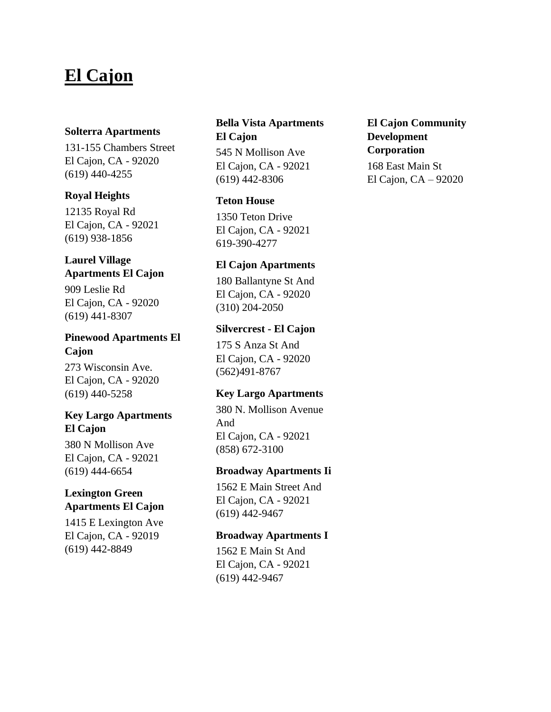# **El Cajon**

#### **Solterra [Apartments](https://www.lowincomehousing.us/det/solterra-92020)**

131-155 Chambers Street El Cajon, CA - 92020 (619) 440-4255

#### **Royal [Heights](https://www.lowincomehousing.us/det/royal-heights)**

12135 Royal Rd El Cajon, CA - 92021 (619) 938-1856

#### **Laurel [Village](https://www.lowincomehousing.us/det/laurel_village_apartments-92020) [Apartments](https://www.lowincomehousing.us/det/laurel_village_apartments-92020) El Cajon**

909 Leslie Rd El Cajon, CA - 92020 (619) 441-8307

## **Pinewood [Apartments](https://www.lowincomehousing.us/det/pinewood_apartments-92020) El [Cajon](https://www.lowincomehousing.us/det/pinewood_apartments-92020)**

273 Wisconsin Ave. El Cajon, CA - 92020 (619) 440-5258

#### **Key Largo [Apartments](https://www.lowincomehousing.us/det/key_largo_apartments-92021) El [Cajon](https://www.lowincomehousing.us/det/key_largo_apartments-92021)**

380 N Mollison Ave El Cajon, CA - 92021 (619) 444-6654

## **[Lexington](https://www.lowincomehousing.us/det/lexington_green_apartments-92019) Green [Apartments](https://www.lowincomehousing.us/det/lexington_green_apartments-92019) El Cajon**

1415 E Lexington Ave El Cajon, CA - 92019 (619) 442-8849

## **Bella Vista [Apartments](https://www.lowincomehousing.us/det/bella_vista_apartments-92021) El [Cajon](https://www.lowincomehousing.us/det/bella_vista_apartments-92021)**

545 N Mollison Ave El Cajon, CA - 92021 (619) 442-8306

#### **Teton [House](https://www.lowincomehousing.us/det/92021-teton_house)**

1350 Teton Drive El Cajon, CA - 92021 619-390-4277

#### **El Cajon [Apartments](https://www.lowincomehousing.us/det/92020-4030-el_cajon_apartments)**

180 Ballantyne St And El Cajon, CA - 92020 (310) 204-2050

#### **[Silvercrest](https://www.lowincomehousing.us/det/92020-4859-silvercrest_-_el_cajon) - El Cajon**

175 S Anza St And El Cajon, CA - 92020 (562)491-8767

## **Key Largo [Apartments](https://www.lowincomehousing.us/det/92021-6812-key_largo_apts)**

380 N. Mollison Avenue And El Cajon, CA - 92021 (858) 672-3100

#### **Broadway [Apartments](https://www.lowincomehousing.us/det/92021-5900-broadway_apts_ii) Ii**

1562 E Main Street And El Cajon, CA - 92021 (619) 442-9467

#### **Broadway [Apartments](https://www.lowincomehousing.us/det/92021-5900-broadway_apts_i) I**

1562 E Main St And El Cajon, CA - 92021 (619) 442-9467

## **El Cajon [Community](https://www.lowincomehousing.us/det/ca_El_Cajon_Community_Development) [Development](https://www.lowincomehousing.us/det/ca_El_Cajon_Community_Development) [Corporation](https://www.lowincomehousing.us/det/ca_El_Cajon_Community_Development)** 168 East Main St

El Cajon, CA – 92020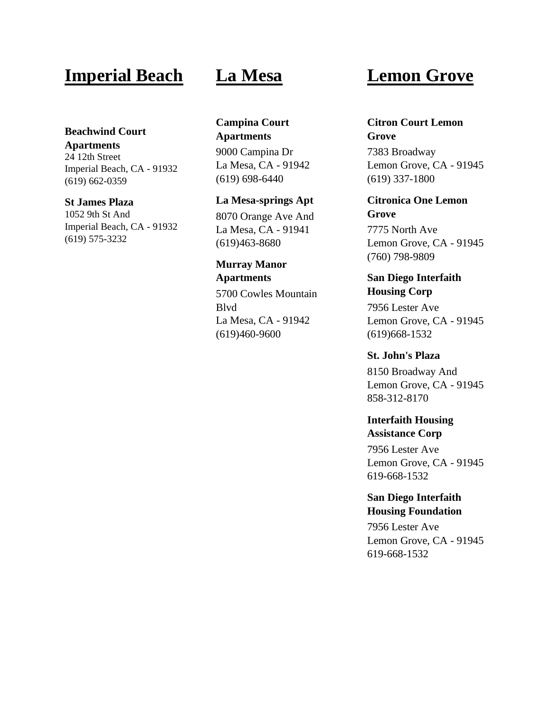## **Imperial Beach**

#### **[Beachwind](https://www.lowincomehousing.us/det/beachwind-court-apartments) Court**

**[Apartments](https://www.lowincomehousing.us/det/beachwind-court-apartments)** 24 12th Street Imperial Beach, CA - 91932 (619) 662-0359

#### **St [James](https://www.lowincomehousing.us/det/91932-2851-st_james_plaza) Plaza**

1052 9th St And Imperial Beach, CA - 91932 (619) 575-3232

## **La Mesa**

**[Campina](https://www.lowincomehousing.us/det/campina_court_apartments-91942) Court [Apartments](https://www.lowincomehousing.us/det/campina_court_apartments-91942)**

9000 Campina Dr La Mesa, CA - 91942 (619) 698-6440

#### **La [Mesa-springs](https://www.lowincomehousing.us/det/91941-6463-la_mesa-springs_apt) Apt**

8070 Orange Ave And La Mesa, CA - 91941 (619)463-8680

## **[Murray](https://www.lowincomehousing.us/det/91942-1900-murray_manor_apartments) Manor [Apartments](https://www.lowincomehousing.us/det/91942-1900-murray_manor_apartments)**

5700 Cowles Mountain Blvd La Mesa, CA - 91942 (619)460-9600

# **Lemon Grove**

**Citron Court [Lemon](https://www.lowincomehousing.us/det/citron_court-91945) [Grove](https://www.lowincomehousing.us/det/citron_court-91945)** 7383 Broadway Lemon Grove, CA - 91945

(619) 337-1800

**[Citronica](https://www.lowincomehousing.us/det/citronica_one-91945) One Lemon [Grove](https://www.lowincomehousing.us/det/citronica_one-91945)**

7775 North Ave Lemon Grove, CA - 91945 (760) 798-9809

## **San Diego [Interfaith](https://www.lowincomehousing.us/det/ca_Palm_Terrace_Interfaith_Housin) [Housing](https://www.lowincomehousing.us/det/ca_Palm_Terrace_Interfaith_Housin) Corp**

7956 Lester Ave Lemon Grove, CA - 91945 (619)668-1532

**St. [John's](https://www.lowincomehousing.us/det/91945-2673-st._johns_plaza) Plaza** 8150 Broadway And Lemon Grove, CA - 91945 858-312-8170

#### **[Interfaith](https://www.lowincomehousing.us/det/ca_Interfaith_Housing_Assistance_) Housing [Assistance](https://www.lowincomehousing.us/det/ca_Interfaith_Housing_Assistance_) Corp**

7956 Lester Ave Lemon Grove, CA - 91945 619-668-1532

## **San Diego [Interfaith](https://www.lowincomehousing.us/det/ca_San_Diego_Interfaith_Housing_F) Housing [Foundation](https://www.lowincomehousing.us/det/ca_San_Diego_Interfaith_Housing_F)**

7956 Lester Ave Lemon Grove, CA - 91945 619-668-1532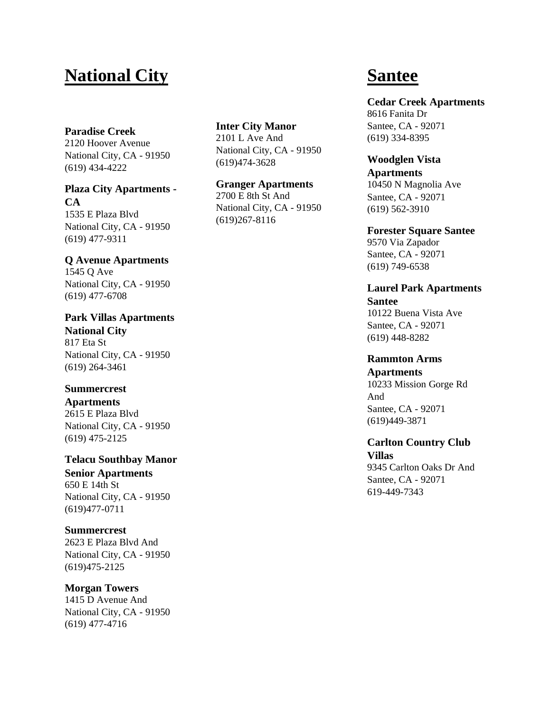# **National City**

#### **[Paradise](https://www.lowincomehousing.us/det/paradise-creek) Creek**

2120 Hoover Avenue National City, CA - 91950 (619) 434 -4222

**Plaza City [Apartments](https://www.lowincomehousing.us/det/plaza_city_apartments-91950) - [CA](https://www.lowincomehousing.us/det/plaza_city_apartments-91950)** 1535 E Plaza Blvd National City, CA - 91950 (619) 477 -9311

## **Q Avenue [Apartments](https://www.lowincomehousing.us/det/vista_del_sol-91950)**

1545 Q Ave National City, CA - 91950 (619) 477 -6708

**Park Villas [Apartments](https://www.lowincomehousing.us/det/park_villas_apartments-91950) [National](https://www.lowincomehousing.us/det/park_villas_apartments-91950) City** 817 Eta St National City, CA - 91950 (619) 264 -3461

## **[Summercrest](https://www.lowincomehousing.us/det/plaza_manor_apartments-91950)**

**[Apartments](https://www.lowincomehousing.us/det/plaza_manor_apartments-91950)** 2615 E Plaza Blvd National City, CA - 91950 (619) 475 -2125

**Telacu [Southbay](https://www.lowincomehousing.us/det/91950-4600-telacu_southbay_manor) Manor Senior [Apartments](https://www.lowincomehousing.us/det/91950-4600-telacu_southbay_manor)** 650 E 14th St National City, CA - 91950 (619)477 -0711

## **[Summercrest](https://www.lowincomehousing.us/det/91950-4005-summercrest)**

2623 E Plaza Blvd And National City, CA - 91950 (619)475 -2125

## **[Morgan](https://www.lowincomehousing.us/det/91950-4537-morgan_towers) Towers**

1415 D Avenue And National City, CA - 91950 (619) 477 -4716

**Inter City [Manor](https://www.lowincomehousing.us/det/91950-7146-inter_city_manor)** 2101 L Ave And

National City, CA - 91950 (619)474 -3628

**Granger [Apartments](https://www.lowincomehousing.us/det/91950-3004-granger_apts)** 2700 E 8th St And National City, CA - 91950 (619)267 -8116

# **Santee**

**Cedar Creek [Apartments](https://www.lowincomehousing.us/det/cedar_creek_apartments-92071)** 8616 Fanita Dr Santee, CA - 92071 (619) 334 -8395

**[Woodglen](https://www.lowincomehousing.us/det/92071-1706-woodglen_vista_apartments) Vista [Apartments](https://www.lowincomehousing.us/det/92071-1706-woodglen_vista_apartments)**

10450 N Magnolia Ave Santee, CA - 92071 (619) 562 -3910

**[Forester](https://www.lowincomehousing.us/det/forester_square-92071) Square Santee** 9570 Via Zapador Santee, CA - 92071 (619) 749 -6538

**Laurel Park [Apartments](https://www.lowincomehousing.us/det/laurel_park_apartments-92071) [Santee](https://www.lowincomehousing.us/det/laurel_park_apartments-92071)** 10122 Buena Vista Ave Santee, CA - 92071 (619) 448 -8282

**[Rammton](https://www.lowincomehousing.us/det/92071-rammton_arms_apartments) Arms [Apartments](https://www.lowincomehousing.us/det/92071-rammton_arms_apartments)** 10233 Mission Gorge Rd And Santee, CA - 92071 (619)449 -3871

**Carlton [Country](https://www.lowincomehousing.us/det/92071-2548-carlton_country_club_villas) Club [Villas](https://www.lowincomehousing.us/det/92071-2548-carlton_country_club_villas)** 9345 Carlton Oaks Dr And Santee, CA - 92071 619 -449 -7343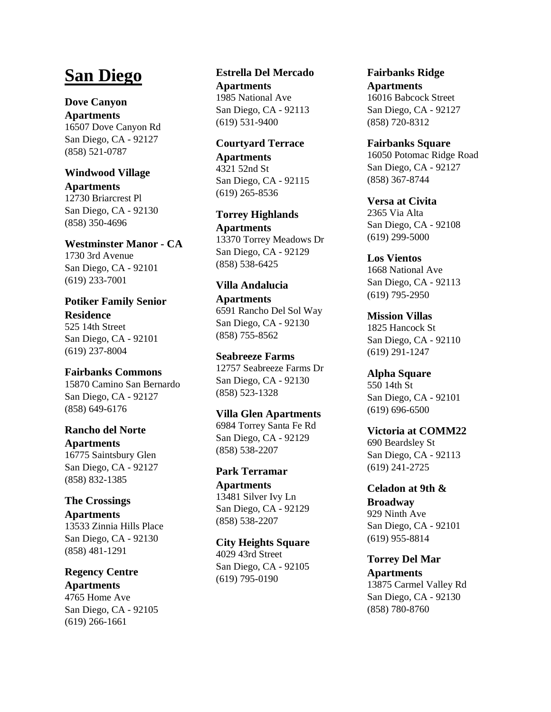# **San Diego**

**Dove [Canyon](https://www.lowincomehousing.us/det/dove_canyon_apartments-92127) [Apartments](https://www.lowincomehousing.us/det/dove_canyon_apartments-92127)** 16507 Dove Canyon Rd San Diego, CA - 92127 (858) 521-0787

## **[Windwood](https://www.lowincomehousing.us/det/windwood_village_apartments-92130) Village [Apartments](https://www.lowincomehousing.us/det/windwood_village_apartments-92130)**

12730 Briarcrest Pl San Diego, CA - 92130 (858) 350-4696

**[Westminster](https://www.lowincomehousing.us/det/westminster-manor) Manor - CA** 1730 3rd Avenue San Diego, CA - 92101 (619) 233-7001

**[Potiker](https://www.lowincomehousing.us/det/ca_potiker_family_senior_residence_market_square) Family Senior [Residence](https://www.lowincomehousing.us/det/ca_potiker_family_senior_residence_market_square)** 525 14th Street San Diego, CA - 92101 (619) 237-8004

**[Fairbanks](https://www.lowincomehousing.us/det/fairbanks_ridge_at_del_sur-92127) Commons** 15870 Camino San Bernardo San Diego, CA - 92127 (858) 649-6176

**[Rancho](https://www.lowincomehousing.us/det/rancho_del_norte_apartments-92127) del Norte [Apartments](https://www.lowincomehousing.us/det/rancho_del_norte_apartments-92127)** 16775 Saintsbury Glen San Diego, CA - 92127 (858) 832-1385

**The [Crossings](https://www.lowincomehousing.us/det/crossings-92130) [Apartments](https://www.lowincomehousing.us/det/crossings-92130)** 13533 Zinnia Hills Place San Diego, CA - 92130 (858) 481-1291

**[Regency](https://www.lowincomehousing.us/det/regency_centre-92105) Centre [Apartments](https://www.lowincomehousing.us/det/regency_centre-92105)** 4765 Home Ave San Diego, CA - 92105 (619) 266-1661

**Estrella Del [Mercado](https://www.lowincomehousing.us/det/estrella_del_mercado-92113) [Apartments](https://www.lowincomehousing.us/det/estrella_del_mercado-92113)** 1985 National Ave San Diego, CA - 92113 (619) 531-9400

**[Courtyard](https://www.lowincomehousing.us/det/dawson_avenue_senior_apartments-92115) Terrace [Apartments](https://www.lowincomehousing.us/det/dawson_avenue_senior_apartments-92115)** 4321 52nd St San Diego, CA - 92115 (619) 265-8536

**Torrey [Highlands](https://www.lowincomehousing.us/det/torrey_highlands_apartments-92129) [Apartments](https://www.lowincomehousing.us/det/torrey_highlands_apartments-92129)** 13370 Torrey Meadows Dr San Diego, CA - 92129 (858) 538-6425

**Villa [Andalucia](https://www.lowincomehousing.us/det/villa_andalucia_apartments-92130) [Apartments](https://www.lowincomehousing.us/det/villa_andalucia_apartments-92130)** 6591 Rancho Del Sol Way San Diego, CA - 92130 (858) 755-8562

**[Seabreeze](https://www.lowincomehousing.us/det/seabreeze_apartments-92130) Farms** 12757 Seabreeze Farms Dr San Diego, CA - 92130 (858) 523-1328

**Villa Glen [Apartments](https://www.lowincomehousing.us/det/villa_glen_apartments-92129)** 6984 Torrey Santa Fe Rd San Diego, CA - 92129 (858) 538-2207

**Park [Terramar](https://www.lowincomehousing.us/det/terramar_apartments-92129) [Apartments](https://www.lowincomehousing.us/det/terramar_apartments-92129)** 13481 Silver Ivy Ln San Diego, CA - 92129 (858) 538-2207

**City [Heights](https://www.lowincomehousing.us/det/city-heights-square) Square** 4029 43rd Street San Diego, CA - 92105 (619) 795-0190

**[Fairbanks](https://www.lowincomehousing.us/det/fairbanks-ridge) Ridge [Apartments](https://www.lowincomehousing.us/det/fairbanks-ridge)** 16016 Babcock Street San Diego, CA - 92127 (858) 720-8312

**[Fairbanks](https://www.lowincomehousing.us/det/fairbanks-square) Square** 16050 Potomac Ridge Road San Diego, CA - 92127 (858) 367-8744

**Versa at [Civita](https://www.lowincomehousing.us/det/versa-at-civita)** 2365 Via Alta San Diego, CA - 92108 (619) 299-5000

**Los [Vientos](https://www.lowincomehousing.us/det/los_vientos-92113)** 1668 National Ave San Diego, CA - 92113 (619) 795-2950

**[Mission](https://www.lowincomehousing.us/det/mission_apartments-92110) Villas** 1825 Hancock St San Diego, CA - 92110 (619) 291-1247

**Alpha [Square](https://www.lowincomehousing.us/det/alpha-square)** 550 14th St San Diego, CA - 92101 (619) 696-6500

**Victoria at [COMM22](https://www.lowincomehousing.us/det/victoria-at-comm22)** 690 Beardsley St San Diego, CA - 92113 (619) 241-2725

**[Celadon](https://www.lowincomehousing.us/det/celadon-at-9th-broadway) at 9th & [Broadway](https://www.lowincomehousing.us/det/celadon-at-9th-broadway)** 929 Ninth Ave San Diego, CA - 92101 (619) 955-8814

**[Torrey](https://www.lowincomehousing.us/det/torrey_del_mar_apartments-92130) Del Mar [Apartments](https://www.lowincomehousing.us/det/torrey_del_mar_apartments-92130)** 13875 Carmel Valley Rd San Diego, CA - 92130 (858) 780-8760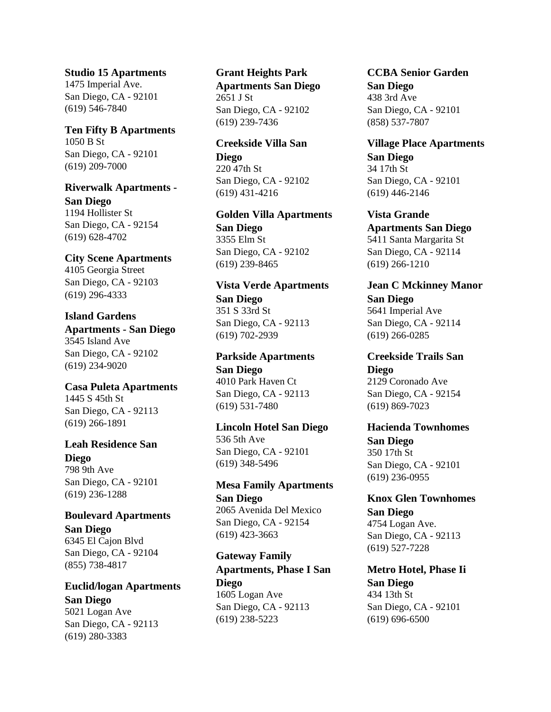**Studio 15 [Apartments](https://www.lowincomehousing.us/det/Studio_15_Apartments_San_Diego)** 1475 Imperial Ave. San Diego, CA - 92101 (619) 546-7840

#### **Ten Fifty B [Apartments](https://www.lowincomehousing.us/det/ten_fifty_b_apartments_phase_i-92101)** 1050 B St San Diego, CA - 92101 (619) 209-7000

**Riverwalk [Apartments](https://www.lowincomehousing.us/det/riverwalk_apartments-92154) - San [Diego](https://www.lowincomehousing.us/det/riverwalk_apartments-92154)** 1194 Hollister St San Diego, CA - 92154 (619) 628-4702

**City Scene [Apartments](https://www.lowincomehousing.us/det/city-scene-apartments)** 4105 Georgia Street San Diego, CA - 92103 (619) 296-4333

**Island [Gardens](https://www.lowincomehousing.us/det/island_gardens_apartments-92102) [Apartments](https://www.lowincomehousing.us/det/island_gardens_apartments-92102) - San Diego** 3545 Island Ave San Diego, CA - 92102 (619) 234-9020

**Casa Puleta [Apartments](https://www.lowincomehousing.us/det/casa_puleta_apartments-92113)** 1445 S 45th St San Diego, CA - 92113 (619) 266-1891

**Leah [Residence](https://www.lowincomehousing.us/det/leah_residence-92101) San [Diego](https://www.lowincomehousing.us/det/leah_residence-92101)** 798 9th Ave San Diego, CA - 92101

(619) 236-1288

**Boulevard [Apartments](https://www.lowincomehousing.us/det/boulevard_apartments-92104) San [Diego](https://www.lowincomehousing.us/det/boulevard_apartments-92104)** 6345 El Cajon Blvd San Diego, CA - 92104 (855) 738-4817

**[Euclid/logan](https://www.lowincomehousing.us/det/euclid/logan_apartments-92113) Apartments San [Diego](https://www.lowincomehousing.us/det/euclid/logan_apartments-92113)** 5021 Logan Ave San Diego, CA - 92113 (619) 280-3383

**Grant [Heights](https://www.lowincomehousing.us/det/grant_heights_park_apartments-92102) Park [Apartments](https://www.lowincomehousing.us/det/grant_heights_park_apartments-92102) San Diego** 2651 J St San Diego, CA - 92102 (619) 239-7436

**[Creekside](https://www.lowincomehousing.us/det/creekside_villa-92102) Villa San [Diego](https://www.lowincomehousing.us/det/creekside_villa-92102)** 220 47th St San Diego, CA - 92102 (619) 431-4216

**Golden Villa [Apartments](https://www.lowincomehousing.us/det/golden_villa_apartments-92102) San [Diego](https://www.lowincomehousing.us/det/golden_villa_apartments-92102)** 3355 Elm St San Diego, CA - 92102 (619) 239-8465

**Vista Verde [Apartments](https://www.lowincomehousing.us/det/vista_verde_apartments-92113) San [Diego](https://www.lowincomehousing.us/det/vista_verde_apartments-92113)** 351 S 33rd St San Diego, CA - 92113 (619) 702-2939

**Parkside [Apartments](https://www.lowincomehousing.us/det/parkside_apartments-92113) San [Diego](https://www.lowincomehousing.us/det/parkside_apartments-92113)** 4010 Park Haven Ct San Diego, CA - 92113 (619) 531-7480

**[Lincoln](https://www.lowincomehousing.us/det/lincoln_hotel-92101) Hotel San Diego** 536 5th Ave San Diego, CA - 92101 (619) 348-5496

**Mesa Family [Apartments](https://www.lowincomehousing.us/det/mesa_family_apartments-92154) San [Diego](https://www.lowincomehousing.us/det/mesa_family_apartments-92154)** 2065 Avenida Del Mexico San Diego, CA - 92154 (619) 423-3663

**[Gateway](https://www.lowincomehousing.us/det/gateway_family_apartments_phase_i-92113) Family [Apartments,](https://www.lowincomehousing.us/det/gateway_family_apartments_phase_i-92113) Phase I San [Diego](https://www.lowincomehousing.us/det/gateway_family_apartments_phase_i-92113)** 1605 Logan Ave San Diego, CA - 92113 (619) 238-5223

**CCBA Senior [Garden](https://www.lowincomehousing.us/det/ccba_senior_garden-92101) San [Diego](https://www.lowincomehousing.us/det/ccba_senior_garden-92101)** 438 3rd Ave San Diego, CA - 92101 (858) 537-7807

**Village Place [Apartments](https://www.lowincomehousing.us/det/village_place_apartments-92101) San [Diego](https://www.lowincomehousing.us/det/village_place_apartments-92101)** 34 17th St San Diego, CA - 92101 (619) 446-2146

**Vista [Grande](https://www.lowincomehousing.us/det/vista_grande_apartments-92114) [Apartments](https://www.lowincomehousing.us/det/vista_grande_apartments-92114) San Diego** 5411 Santa Margarita St San Diego, CA - 92114 (619) 266-1210

**Jean C [Mckinney](https://www.lowincomehousing.us/det/jean_c_mckinney_manor-92114) Manor San [Diego](https://www.lowincomehousing.us/det/jean_c_mckinney_manor-92114)** 5641 Imperial Ave San Diego, CA - 92114 (619) 266-0285

**[Creekside](https://www.lowincomehousing.us/det/creekside_trails-92154) Trails San [Diego](https://www.lowincomehousing.us/det/creekside_trails-92154)** 2129 Coronado Ave San Diego, CA - 92154 (619) 869-7023

**Hacienda [Townhomes](https://www.lowincomehousing.us/det/hacienda_townhomes-92101) San [Diego](https://www.lowincomehousing.us/det/hacienda_townhomes-92101)** 350 17th St San Diego, CA - 92101 (619) 236-0955

**Knox Glen [Townhomes](https://www.lowincomehousing.us/det/knox_glen_townhomes-92113) San [Diego](https://www.lowincomehousing.us/det/knox_glen_townhomes-92113)** 4754 Logan Ave. San Diego, CA - 92113 (619) 527-7228

**[Metro](https://www.lowincomehousing.us/det/metro_hotel_phase_ii-92101) Hotel, Phase Ii San [Diego](https://www.lowincomehousing.us/det/metro_hotel_phase_ii-92101)** 434 13th St San Diego, CA - 92101 (619) 696-6500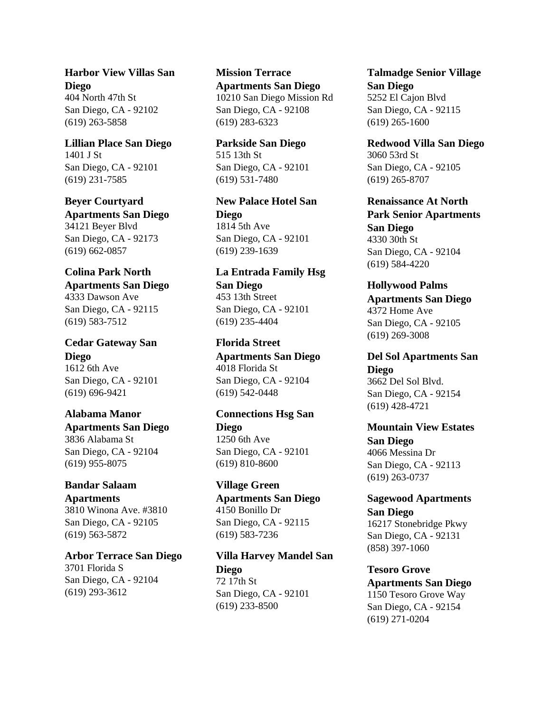**[Harbor](https://www.lowincomehousing.us/det/harbor_view_villas-92102) View Villas San [Diego](https://www.lowincomehousing.us/det/harbor_view_villas-92102)** 404 North 47th St San Diego, CA - 92102 (619) 263-5858

**[Lillian](https://www.lowincomehousing.us/det/lillian_place-92101) Place San Diego** 1401 J St San Diego, CA - 92101 (619) 231-7585

#### **Beyer [Courtyard](https://www.lowincomehousing.us/det/beyer_courtyard_apartments-92173)**

**[Apartments](https://www.lowincomehousing.us/det/beyer_courtyard_apartments-92173) San Diego** 34121 Beyer Blvd San Diego, CA - 92173 (619) 662-0857

## **[Colina](https://www.lowincomehousing.us/det/colina_park_north_apartments-92115) Park North**

**[Apartments](https://www.lowincomehousing.us/det/colina_park_north_apartments-92115) San Diego** 4333 Dawson Ave San Diego, CA - 92115 (619) 583-7512

**Cedar [Gateway](https://www.lowincomehousing.us/det/cedar_gateway-92101) San [Diego](https://www.lowincomehousing.us/det/cedar_gateway-92101)** 1612 6th Ave San Diego, CA - 92101 (619) 696-9421

#### **[Alabama](https://www.lowincomehousing.us/det/alabama_manor_apartments-92104) Manor**

**[Apartments](https://www.lowincomehousing.us/det/alabama_manor_apartments-92104) San Diego** 3836 Alabama St San Diego, CA - 92104 (619) 955-8075

## **[Bandar](https://www.lowincomehousing.us/det/winona_gardens_apartments-92105) Salaam**

**[Apartments](https://www.lowincomehousing.us/det/winona_gardens_apartments-92105)** 3810 Winona Ave. #3810 San Diego, CA - 92105 (619) 563-5872

**Arbor [Terrace](https://www.lowincomehousing.us/det/arbor_terrace-92104) San Diego** 3701 Florida S San Diego, CA - 92104 (619) 293-3612

**Mission [Terrace](https://www.lowincomehousing.us/det/mission_terrace_apartments-92108) [Apartments](https://www.lowincomehousing.us/det/mission_terrace_apartments-92108) San Diego** 10210 San Diego Mission Rd San Diego, CA - 92108 (619) 283-6323

**[Parkside](https://www.lowincomehousing.us/det/parkside-92101) San Diego** 515 13th St San Diego, CA - 92101 (619) 531-7480

**New [Palace](https://www.lowincomehousing.us/det/new_palace_hotel-92101) Hotel San [Diego](https://www.lowincomehousing.us/det/new_palace_hotel-92101)** 1814 5th Ave San Diego, CA - 92101 (619) 239-1639

**La [Entrada](https://www.lowincomehousing.us/det/la_entrada_family_hsg-92113) Family Hsg San [Diego](https://www.lowincomehousing.us/det/la_entrada_family_hsg-92113)** 453 13th Street San Diego, CA - 92101 (619) 235-4404

**[Florida](https://www.lowincomehousing.us/det/florida_street_apartments-92104) Street [Apartments](https://www.lowincomehousing.us/det/florida_street_apartments-92104) San Diego** 4018 Florida St San Diego, CA - 92104 (619) 542-0448

**[Connections](https://www.lowincomehousing.us/det/connections_hsg-92101) Hsg San [Diego](https://www.lowincomehousing.us/det/connections_hsg-92101)** 1250 6th Ave San Diego, CA - 92101 (619) 810-8600

**[Village](https://www.lowincomehousing.us/det/village_green_apartments-92115) Green [Apartments](https://www.lowincomehousing.us/det/village_green_apartments-92115) San Diego** 4150 Bonillo Dr San Diego, CA - 92115 (619) 583-7236

**Villa Harvey [Mandel](https://www.lowincomehousing.us/det/villa_harvey_mandel-92101) San [Diego](https://www.lowincomehousing.us/det/villa_harvey_mandel-92101)** 72 17th St San Diego, CA - 92101 (619) 233-8500

**[Talmadge](https://www.lowincomehousing.us/det/talmadge_senior_village-92115) Senior Village San [Diego](https://www.lowincomehousing.us/det/talmadge_senior_village-92115)** 5252 El Cajon Blvd San Diego, CA - 92115 (619) 265-1600

**[Redwood](https://www.lowincomehousing.us/det/redwood_villa-92105) Villa San Diego** 3060 53rd St San Diego, CA - 92105 (619) 265-8707

**[Renaissance](https://www.lowincomehousing.us/det/renaissance_at_north_park_senior_apartments-92104) At North Park Senior [Apartments](https://www.lowincomehousing.us/det/renaissance_at_north_park_senior_apartments-92104) San [Diego](https://www.lowincomehousing.us/det/renaissance_at_north_park_senior_apartments-92104)** 4330 30th St San Diego, CA - 92104 (619) 584-4220

**[Hollywood](https://www.lowincomehousing.us/det/hollywood_palms_apartments-92105) Palms [Apartments](https://www.lowincomehousing.us/det/hollywood_palms_apartments-92105) San Diego** 4372 Home Ave San Diego, CA - 92105 (619) 269-3008

**Del Sol [Apartments](https://www.lowincomehousing.us/det/del_sol_apartments-92154) San [Diego](https://www.lowincomehousing.us/det/del_sol_apartments-92154)** 3662 Del Sol Blvd. San Diego, CA - 92154 (619) 428-4721

**[Mountain](https://www.lowincomehousing.us/det/mountain_view_estates-92113) View Estates San [Diego](https://www.lowincomehousing.us/det/mountain_view_estates-92113)** 4066 Messina Dr San Diego, CA - 92113 (619) 263-0737

**Sagewood [Apartments](https://www.lowincomehousing.us/det/sagewood_apartments-92131) San [Diego](https://www.lowincomehousing.us/det/sagewood_apartments-92131)** 16217 Stonebridge Pkwy San Diego, CA - 92131 (858) 397-1060

**[Tesoro](https://www.lowincomehousing.us/det/tesoro_grove_apartments-92154) Grove [Apartments](https://www.lowincomehousing.us/det/tesoro_grove_apartments-92154) San Diego** 1150 Tesoro Grove Way San Diego, CA - 92154 (619) 271-0204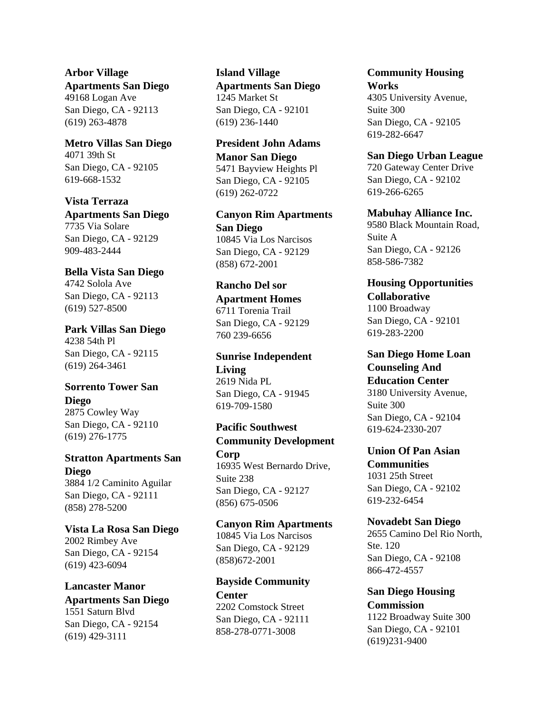**Arbor [Village](https://www.lowincomehousing.us/det/arbor_village_apartments-92113) [Apartments](https://www.lowincomehousing.us/det/arbor_village_apartments-92113) San Diego** 49168 Logan Ave San Diego, CA - 92113 (619) 263-4878

**[Metro](https://www.lowincomehousing.us/det/metro_villas-92105) Villas San Diego** 4071 39th St San Diego, CA - 92105 619-668-1532

**Vista [Terraza](https://www.lowincomehousing.us/det/vista_terraza_apartments-92129) [Apartments](https://www.lowincomehousing.us/det/vista_terraza_apartments-92129) San Diego** 7735 Via Solare San Diego, CA - 92129 909-483-2444

**Bella Vista San [Diego](https://www.lowincomehousing.us/det/bella_vista-92113)** 4742 Solola Ave San Diego, CA - 92113 (619) 527-8500

**Park Villas San [Diego](https://www.lowincomehousing.us/det/park_villas-92115)** 4238 54th Pl San Diego, CA - 92115 (619) 264-3461

**[Sorrento](https://www.lowincomehousing.us/det/sorrento_tower-92110) Tower San [Diego](https://www.lowincomehousing.us/det/sorrento_tower-92110)** 2875 Cowley Way San Diego, CA - 92110

(619) 276-1775 **Stratton [Apartments](https://www.lowincomehousing.us/det/stratton_apartments-92111) San [Diego](https://www.lowincomehousing.us/det/stratton_apartments-92111)**

3884 1/2 Caminito Aguilar San Diego, CA - 92111 (858) 278-5200

**Vista La Rosa San [Diego](https://www.lowincomehousing.us/det/vista_la_rosa-92154)** 2002 Rimbey Ave San Diego, CA - 92154 (619) 423-6094

**[Lancaster](https://www.lowincomehousing.us/det/lancaster_manor_apartments-92154) Manor [Apartments](https://www.lowincomehousing.us/det/lancaster_manor_apartments-92154) San Diego** 1551 Saturn Blvd San Diego, CA - 92154 (619) 429-3111

**Island [Village](https://www.lowincomehousing.us/det/island_village_apartments-92101) [Apartments](https://www.lowincomehousing.us/det/island_village_apartments-92101) San Diego** 1245 Market St San Diego, CA - 92101 (619) 236-1440

**[President](https://www.lowincomehousing.us/det/president_john_adams_manor-92105) John Adams [Manor](https://www.lowincomehousing.us/det/president_john_adams_manor-92105) San Diego** 5471 Bayview Heights Pl San Diego, CA - 92105 (619) 262-0722

**Canyon Rim [Apartments](https://www.lowincomehousing.us/det/canyon_rim_apartments-92129) San [Diego](https://www.lowincomehousing.us/det/canyon_rim_apartments-92129)** 10845 Via Los Narcisos San Diego, CA - 92129 (858) 672-2001

**[Rancho](https://www.lowincomehousing.us/det/ca_92129_rancho-del-sor) Del sor [Apartment](https://www.lowincomehousing.us/det/ca_92129_rancho-del-sor) Homes** 6711 Torenia Trail San Diego, CA - 92129 760 239-6656

**Sunrise [Independent](https://www.lowincomehousing.us/det/ca_91945_sunrise-independent-living) [Living](https://www.lowincomehousing.us/det/ca_91945_sunrise-independent-living)** 2619 Nida PL San Diego, CA - 91945 619-709-1580

**Pacific [Southwest](https://www.lowincomehousing.us/det/ca_Pacific_Southwest_Community_De) Community [Development](https://www.lowincomehousing.us/det/ca_Pacific_Southwest_Community_De) [Corp](https://www.lowincomehousing.us/det/ca_Pacific_Southwest_Community_De)**

16935 West Bernardo Drive, Suite 238 San Diego, CA - 92127 (856) 675-0506

**Canyon Rim [Apartments](https://www.lowincomehousing.us/det/Canyon_Rim_Apartments-92129-j4)** 10845 Via Los Narcisos San Diego, CA - 92129 (858)672-2001

**Bayside [Community](https://www.lowincomehousing.us/det/Bayside_Community_Center-92111-j4) [Center](https://www.lowincomehousing.us/det/Bayside_Community_Center-92111-j4)** 2202 Comstock Street San Diego, CA - 92111 858-278-0771-3008

**[Community](https://www.lowincomehousing.us/det/Community_Housing_Works-92105-j4) Housing [Works](https://www.lowincomehousing.us/det/Community_Housing_Works-92105-j4)** 4305 University Avenue, Suite 300 San Diego, CA - 92105 619-282-6647

**San Diego Urban [League](https://www.lowincomehousing.us/det/San_Diego_Urban_League-92102-j4)** 720 Gateway Center Drive San Diego, CA - 92102 619-266-6265

**[Mabuhay](https://www.lowincomehousing.us/det/Mabuhay_Alliance_Inc.-92126-j4) Alliance Inc.** 9580 Black Mountain Road, Suite A San Diego, CA - 92126 858-586-7382

**Housing [Opportunities](https://www.lowincomehousing.us/det/Housing_Opportunities_Collaborative-92101-j4) [Collaborative](https://www.lowincomehousing.us/det/Housing_Opportunities_Collaborative-92101-j4)** 1100 Broadway San Diego, CA - 92101 619-283-2200

**San Diego [Home](https://www.lowincomehousing.us/det/San_Diego_Home_Loan_Counseling_And_Education_Center-92104-j4) Loan [Counseling](https://www.lowincomehousing.us/det/San_Diego_Home_Loan_Counseling_And_Education_Center-92104-j4) And [Education](https://www.lowincomehousing.us/det/San_Diego_Home_Loan_Counseling_And_Education_Center-92104-j4) Center** 3180 University Avenue, Suite 300 San Diego, CA - 92104 619-624-2330-207

**[Union](https://www.lowincomehousing.us/det/Union_Of_Pan_Asian_Communities-92102-j4) Of Pan Asian [Communities](https://www.lowincomehousing.us/det/Union_Of_Pan_Asian_Communities-92102-j4)** 1031 25th Street San Diego, CA - 92102 619-232-6454

**[Novadebt](https://www.lowincomehousing.us/det/Novadebt_San_Diego-92108-j4) San Diego** 2655 Camino Del Rio North, Ste. 120 San Diego, CA - 92108 866-472-4557

**San Diego [Housing](https://www.lowincomehousing.us/det/San_Diego_Housing_Commission-92101-j4) [Commission](https://www.lowincomehousing.us/det/San_Diego_Housing_Commission-92101-j4)** 1122 Broadway Suite 300 San Diego, CA - 92101 (619)231-9400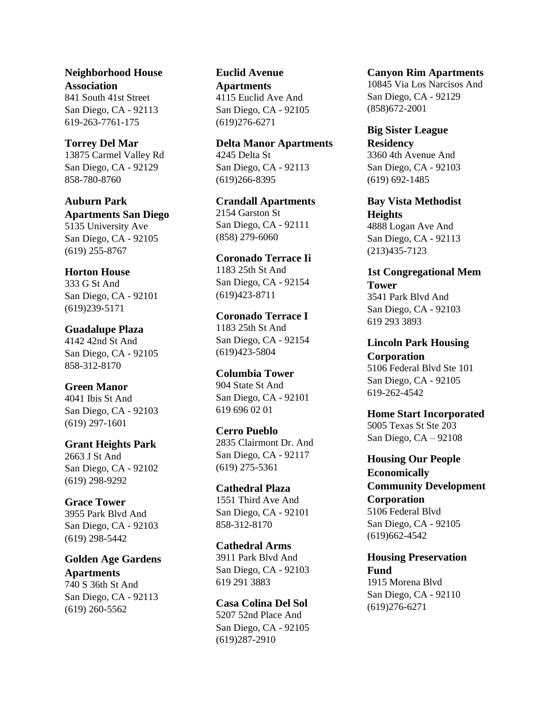**[Neighborhood](https://www.lowincomehousing.us/det/Neighborhood_House_Association-92113-j4) House [Association](https://www.lowincomehousing.us/det/Neighborhood_House_Association-92113-j4)** 841 South 41st Street San Diego, CA - 92113 619-263-7761-175

#### **[Torrey](https://www.lowincomehousing.us/det/ca-torrey_del_mar) Del Mar**

13875 Carmel Valley Rd San Diego, CA - 92129 858-780-8760

**[Auburn](https://www.lowincomehousing.us/det/Auburn_Park_San_Diego) Park [Apartments](https://www.lowincomehousing.us/det/Auburn_Park_San_Diego) San Diego** 5135 University Ave San Diego, CA - 92105 (619) 255-8767

#### **[Horton](https://www.lowincomehousing.us/det/92101-6937-horton_house) House**

333 G St And San Diego, CA - 92101 (619)239-5171

#### **[Guadalupe](https://www.lowincomehousing.us/det/92105-1598-guadalupe_plaza) Plaza**

4142 42nd St And San Diego, CA - 92105 858-312-8170

#### **Green [Manor](https://www.lowincomehousing.us/det/92103-1833-green_manor)**

4041 Ibis St And San Diego, CA - 92103 (619) 297-1601

**Grant [Heights](https://www.lowincomehousing.us/det/92102-3046-grant_heights_park) Park** 2663 J St And San Diego, CA - 92102 (619) 298-9292

#### **Grace [Tower](https://www.lowincomehousing.us/det/92103-3521-grace_tower)**

3955 Park Blvd And San Diego, CA - 92103 (619) 298-5442

**Golden Age [Gardens](https://www.lowincomehousing.us/det/92113-2750-golden_age_gardens_apts) [Apartments](https://www.lowincomehousing.us/det/92113-2750-golden_age_gardens_apts)** 740 S 36th St And San Diego, CA - 92113 (619) 260-5562

**Euclid [Avenue](https://www.lowincomehousing.us/det/92105-1928-euclid_avenue_apts) [Apartments](https://www.lowincomehousing.us/det/92105-1928-euclid_avenue_apts)** 4115 Euclid Ave And San Diego, CA - 92105 (619)276-6271

**Delta Manor [Apartments](https://www.lowincomehousing.us/det/92113-4134-delta_manor_apartments)** 4245 Delta St San Diego, CA - 92113 (619)266-8395

**Crandall [Apartments](https://www.lowincomehousing.us/det/92111-6326-crandall_apts)** 2154 Garston St San Diego, CA - 92111 (858) 279-6060

**[Coronado](https://www.lowincomehousing.us/det/92154-3203-coronado_terrace_ii) Terrace Ii** 1183 25th St And San Diego, CA - 92154 (619)423-8711

**[Coronado](https://www.lowincomehousing.us/det/92154-3203-coronado_terrace_i) Terrace I** 1183 25th St And San Diego, CA - 92154 (619)423-5804

**[Columbia](https://www.lowincomehousing.us/det/92101-6037-columbia_tower) Tower** 904 State St And San Diego, CA - 92101 619 696 02 01

**Cerro [Pueblo](https://www.lowincomehousing.us/det/92117-6755-cerro_pueblo)** 2835 Clairmont Dr. And San Diego, CA - 92117 (619) 275-5361

**[Cathedral](https://www.lowincomehousing.us/det/92101-3114-cathedral_plaza) Plaza** 1551 Third Ave And San Diego, CA - 92101 858-312-8170

**[Cathedral](https://www.lowincomehousing.us/det/92103-3546-cathedral_arms) Arms** 3911 Park Blvd And San Diego, CA - 92103 619 291 3883

**Casa [Colina](https://www.lowincomehousing.us/det/92105-2200-casa_colina_del_sol) Del Sol** 5207 52nd Place And San Diego, CA - 92105 (619)287-2910

**Canyon Rim [Apartments](https://www.lowincomehousing.us/det/92129-1743-canyon_rim_apartments)** 10845 Via Los Narcisos And San Diego, CA - 92129 (858)672-2001

**Big Sister [League](https://www.lowincomehousing.us/det/92103-5704-big_sister_league_residency) [Residency](https://www.lowincomehousing.us/det/92103-5704-big_sister_league_residency)** 3360 4th Avenue And San Diego, CA - 92103 (619) 692-1485

**Bay Vista [Methodist](https://www.lowincomehousing.us/det/92113-3004-bay_vista_methodist_heights) [Heights](https://www.lowincomehousing.us/det/92113-3004-bay_vista_methodist_heights)** 4888 Logan Ave And San Diego, CA - 92113 (213)435-7123

**1st [Congregational](https://www.lowincomehousing.us/det/92103-5256-1st_congregational_mem_tower) Mem [Tower](https://www.lowincomehousing.us/det/92103-5256-1st_congregational_mem_tower)** 3541 Park Blvd And San Diego, CA - 92103 619 293 3893

**Lincoln Park [Housing](https://www.lowincomehousing.us/det/ca_Lincoln_Park_Housing_Corporati) [Corporation](https://www.lowincomehousing.us/det/ca_Lincoln_Park_Housing_Corporati)** 5106 Federal Blvd Ste 101 San Diego, CA - 92105 619-262-4542

**Home Start [Incorporated](https://www.lowincomehousing.us/det/ca_Home_Start_Incorporated)** 5005 Texas St Ste 203 San Diego, CA – 92108

**[Housing](https://www.lowincomehousing.us/det/ca_Housing_Our_People_Economicall) Our People [Economically](https://www.lowincomehousing.us/det/ca_Housing_Our_People_Economicall) Community [Development](https://www.lowincomehousing.us/det/ca_Housing_Our_People_Economicall) [Corporation](https://www.lowincomehousing.us/det/ca_Housing_Our_People_Economicall)** 5106 Federal Blvd San Diego, CA - 92105 (619)662-4542

**Housing [Preservation](https://www.lowincomehousing.us/det/ca_Housing_Preservation_Fund) [Fund](https://www.lowincomehousing.us/det/ca_Housing_Preservation_Fund)** 1915 Morena Blvd San Diego, CA - 92110 (619)276-6271